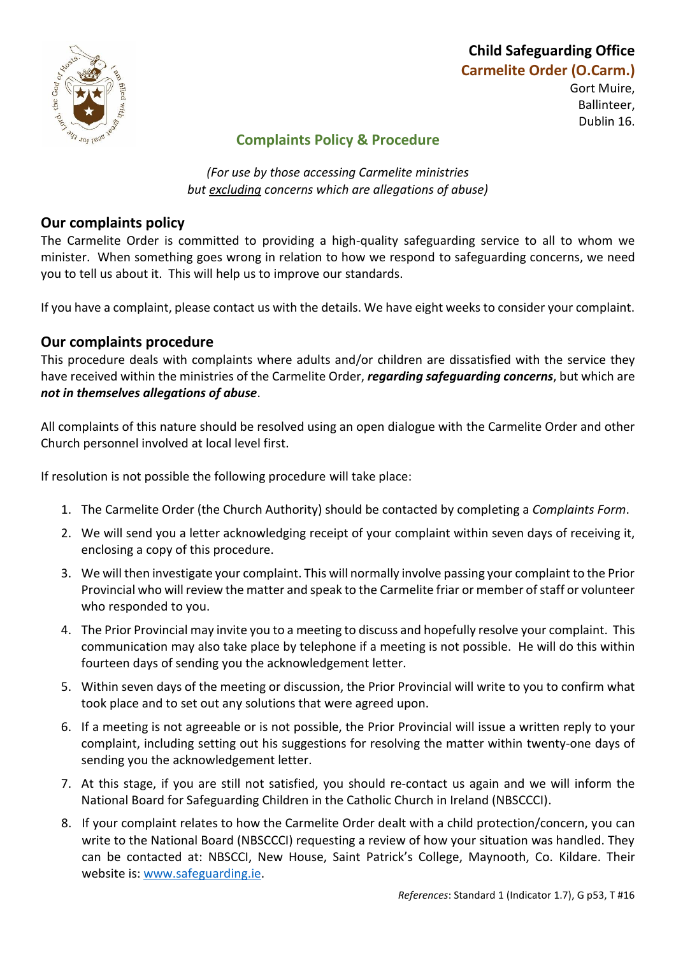

## **Child Safeguarding Office Carmelite Order (O.Carm.)** Gort Muire, Ballinteer, Dublin 16.

# **Complaints Policy & Procedure**

*(For use by those accessing Carmelite ministries but excluding concerns which are allegations of abuse)*

## **Our complaints policy**

The Carmelite Order is committed to providing a high-quality safeguarding service to all to whom we minister. When something goes wrong in relation to how we respond to safeguarding concerns, we need you to tell us about it. This will help us to improve our standards.

If you have a complaint, please contact us with the details. We have eight weeks to consider your complaint.

#### **Our complaints procedure**

This procedure deals with complaints where adults and/or children are dissatisfied with the service they have received within the ministries of the Carmelite Order, *regarding safeguarding concerns*, but which are *not in themselves allegations of abuse*.

All complaints of this nature should be resolved using an open dialogue with the Carmelite Order and other Church personnel involved at local level first.

If resolution is not possible the following procedure will take place:

- 1. The Carmelite Order (the Church Authority) should be contacted by completing a *Complaints Form*.
- 2. We will send you a letter acknowledging receipt of your complaint within seven days of receiving it, enclosing a copy of this procedure.
- 3. We will then investigate your complaint. This will normally involve passing your complaint to the Prior Provincial who will review the matter and speak to the Carmelite friar or member of staff or volunteer who responded to you.
- 4. The Prior Provincial may invite you to a meeting to discuss and hopefully resolve your complaint. This communication may also take place by telephone if a meeting is not possible. He will do this within fourteen days of sending you the acknowledgement letter.
- 5. Within seven days of the meeting or discussion, the Prior Provincial will write to you to confirm what took place and to set out any solutions that were agreed upon.
- 6. If a meeting is not agreeable or is not possible, the Prior Provincial will issue a written reply to your complaint, including setting out his suggestions for resolving the matter within twenty-one days of sending you the acknowledgement letter.
- 7. At this stage, if you are still not satisfied, you should re-contact us again and we will inform the National Board for Safeguarding Children in the Catholic Church in Ireland (NBSCCCI).
- 8. If your complaint relates to how the Carmelite Order dealt with a child protection/concern, you can write to the National Board (NBSCCCI) requesting a review of how your situation was handled. They can be contacted at: NBSCCI, New House, Saint Patrick's College, Maynooth, Co. Kildare. Their website is: [www.safeguarding.ie.](http://www.safeguarding.ie/)